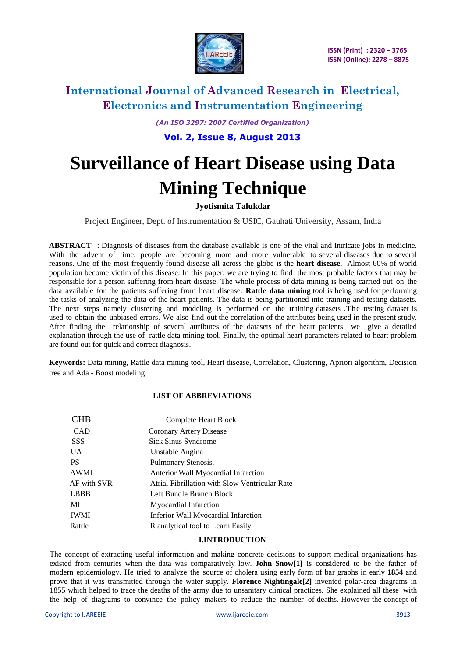

*(An ISO 3297: 2007 Certified Organization)* **Vol. 2, Issue 8, August 2013**

# **Surveillance of Heart Disease using Data Mining Technique**

### **Jyotismita Talukdar**

Project Engineer, Dept. of Instrumentation & USIC, Gauhati University, Assam, India

**ABSTRACT** : Diagnosis of diseases from the database available is one of the vital and intricate jobs in medicine. With the advent of time, people are becoming more and more vulnerable to several diseases due to several reasons. One of the most frequently found disease all across the globe is the **heart disease.** Almost 60% of world population become victim of this disease. In this paper, we are trying to find the most probable factors that may be responsible for a person suffering from heart disease. The whole process of data mining is being carried out on the data available for the patients suffering from heart disease. **Rattle data mining** tool is being used for performing the tasks of analyzing the data of the heart patients. The data is being partitioned into training and testing datasets. The next steps namely clustering and modeling is performed on the training datasets .The testing dataset is used to obtain the unbiased errors. We also find out the correlation of the attributes being used in the present study. After finding the relationship of several attributes of the datasets of the heart patients we give a detailed explanation through the use of rattle data mining tool. Finally, the optimal heart parameters related to heart problem are found out for quick and correct diagnosis.

**Keywords:** Data mining, Rattle data mining tool, Heart disease, Correlation, Clustering, Apriori algorithm, Decision tree and Ada - Boost modeling.

### **LIST OF ABBREVIATIONS**

| <b>CHB</b>  | Complete Heart Block                           |  |  |
|-------------|------------------------------------------------|--|--|
| <b>CAD</b>  | Coronary Artery Disease                        |  |  |
| <b>SSS</b>  | Sick Sinus Syndrome                            |  |  |
| UA.         | Unstable Angina                                |  |  |
| <b>PS</b>   | Pulmonary Stenosis.                            |  |  |
| <b>AWMI</b> | Anterior Wall Myocardial Infarction            |  |  |
| AF with SVR | Atrial Fibrillation with Slow Ventricular Rate |  |  |
| <b>LBBB</b> | Left Bundle Branch Block                       |  |  |
| MI          | Myocardial Infarction                          |  |  |
| <b>IWMI</b> | Inferior Wall Myocardial Infarction            |  |  |
| Rattle      | R analytical tool to Learn Easily              |  |  |

#### **I.INTRODUCTION**

The concept of extracting useful information and making concrete decisions to support medical organizations has existed from centuries when the data was comparatively low. **John Snow[1]** is considered to be the father of modern epidemiology. He tried to analyze the source of cholera using early form of bar graphs in early **1854** and prove that it was transmitted through the water supply. **Florence Nightingale[2]** invented polar-area diagrams in 1855 which helped to trace the deaths of the army due to unsanitary clinical practices. She explained all these with the help of diagrams to convince the policy makers to reduce the number of deaths. However the concept of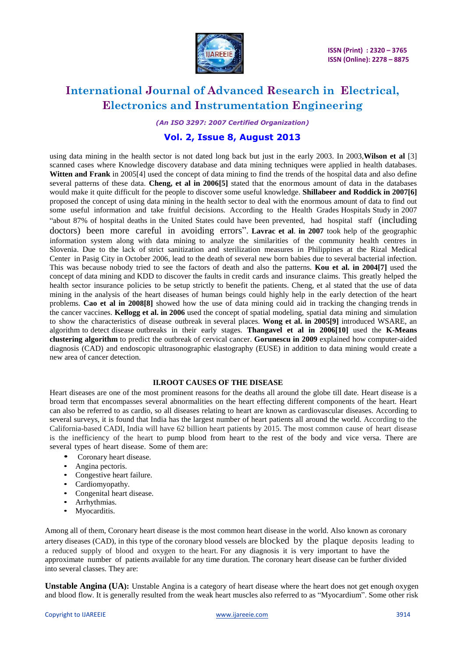

*(An ISO 3297: 2007 Certified Organization)*

### **Vol. 2, Issue 8, August 2013**

using data mining in the health sector is not dated long back but just in the early 2003. In 2003,**Wilson et al** [3] scanned cases where Knowledge discovery database and data mining techniques were applied in health databases. **Witten and Frank** in 2005[4] used the concept of data mining to find the trends of the hospital data and also define several patterns of these data. **Cheng, et al in 2006[5]** stated that the enormous amount of data in the databases would make it quite difficult for the people to discover some useful knowledge. **Shillabeer and Roddick in 2007[6]** proposed the concept of using data mining in the health sector to deal with the enormous amount of data to find out some useful information and take fruitful decisions. According to the Health Grades Hospitals Study in 2007 "about 87% of hospital deaths in the United States could have been prevented, had hospital staff (including doctors) been more careful in avoiding errors". **Lavrac et al**. **in 2007** took help of the geographic information system along with data mining to analyze the similarities of the community health centres in Slovenia. Due to the lack of strict sanitization and sterilization measures in Philippines at the Rizal Medical Center in Pasig City in October 2006, lead to the death of several new born babies due to several bacterial infection. This was because nobody tried to see the factors of death and also the patterns. **Kou et al. in 2004[7]** used the concept of data mining and KDD to discover the faults in credit cards and insurance claims. This greatly helped the health sector insurance policies to be setup strictly to benefit the patients. Cheng, et al stated that the use of data mining in the analysis of the heart diseases of human beings could highly help in the early detection of the heart problems. **Cao et al in 2008[8]** showed how the use of data mining could aid in tracking the changing trends in the cancer vaccines. **Kellogg et al. in 2006** used the concept of spatial modeling, spatial data mining and simulation to show the characteristics of disease outbreak in several places. **Wong et al. in 2005[9]** introduced WSARE, an algorithm to detect disease outbreaks in their early stages. **Thangavel et al in 2006[10]** used the **K-Means clustering algorithm** to predict the outbreak of cervical cancer. **Gorunescu in 2009** explained how computer-aided diagnosis (CAD) and endoscopic ultrasonographic elastography (EUSE) in addition to data mining would create a new area of cancer detection.

#### **II.ROOT CAUSES OF THE DISEASE**

Heart diseases are one of the most prominent reasons for the deaths all around the globe till date. Heart disease is a broad term that encompasses several abnormalities on the heart effecting different components of the heart. Heart can also be referred to as cardio, so all diseases relating to heart are known as cardiovascular diseases. According to several surveys, it is found that India has the largest number of heart patients all around the world. According to the California-based CADI, India will have 62 billion heart patients by 2015. The most common cause of heart disease is the inefficiency of the heart to pump blood from heart to the rest of the body and vice versa. There are several types of heart disease. Some of them are:

- Coronary heart disease.
- Angina pectoris.
- Congestive heart failure.
- Cardiomyopathy.
- Congenital heart disease.
- Arrhythmias.
- Myocarditis.

Among all of them, Coronary heart disease is the most common heart disease in the world. Also known as coronary artery diseases (CAD), in this type of the coronary blood vessels are blocked by the plaque deposits leading to a reduced supply of blood and oxygen to the heart. For any diagnosis it is very important to have the approximate number of patients available for any time duration. The coronary heart disease can be further divided into several classes. They are:

**Unstable Angina (UA):** Unstable Angina is a category of heart disease where the heart does not get enough oxygen and blood flow. It is generally resulted from the weak heart muscles also referred to as "Myocardium". Some other risk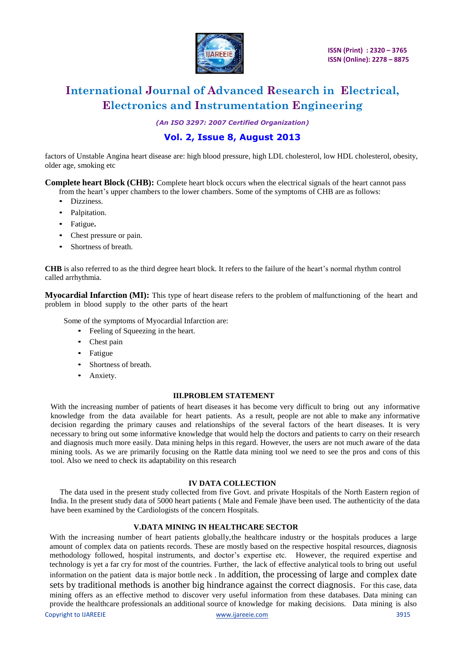

*(An ISO 3297: 2007 Certified Organization)*

### **Vol. 2, Issue 8, August 2013**

factors of Unstable Angina heart disease are: high blood pressure, high LDL cholesterol, low HDL cholesterol, obesity, older age, smoking etc

**Complete heart Block (CHB):** Complete heart block occurs when the electrical signals of the heart cannot pass from the heart's upper chambers to the lower chambers. Some of the symptoms of CHB are as follows:

- Dizziness.
- Palpitation.
- Fatigue**.**
- Chest pressure or pain.
- Shortness of breath.

**CHB** is also referred to as the third degree heart block. It refers to the failure of the heart's normal rhythm control called arrhythmia.

**Myocardial Infarction (MI):** This type of heart disease refers to the problem of malfunctioning of the heart and problem in blood supply to the other parts of the heart

Some of the symptoms of Myocardial Infarction are:

- Feeling of Squeezing in the heart.
- Chest pain
- Fatigue
- Shortness of breath.
- Anxiety.

#### **III.PROBLEM STATEMENT**

With the increasing number of patients of heart diseases it has become very difficult to bring out any informative knowledge from the data available for heart patients. As a result, people are not able to make any informative decision regarding the primary causes and relationships of the several factors of the heart diseases. It is very necessary to bring out some informative knowledge that would help the doctors and patients to carry on their research and diagnosis much more easily. Data mining helps in this regard. However, the users are not much aware of the data mining tools. As we are primarily focusing on the Rattle data mining tool we need to see the pros and cons of this tool. Also we need to check its adaptability on this research

#### **IV DATA COLLECTION**

The data used in the present study collected from five Govt. and private Hospitals of the North Eastern region of India. In the present study data of 5000 heart patients ( Male and Female )have been used. The authenticity of the data have been examined by the Cardiologists of the concern Hospitals.

### **V.DATA MINING IN HEALTHCARE SECTOR**

With the increasing number of heart patients globally, the healthcare industry or the hospitals produces a large amount of complex data on patients records. These are mostly based on the respective hospital resources, diagnosis methodology followed, hospital instruments, and doctor's expertise etc. However, the required expertise and technology is yet a far cry for most of the countries. Further, the lack of effective analytical tools to bring out useful information on the patient data is major bottle neck . In addition, the processing of large and complex date sets by traditional methods is another big hindrance against the correct diagnosis. For this case, data mining offers as an effective method to discover very useful information from these databases. Data mining can provide the healthcare professionals an additional source of knowledge for making decisions. Data mining is also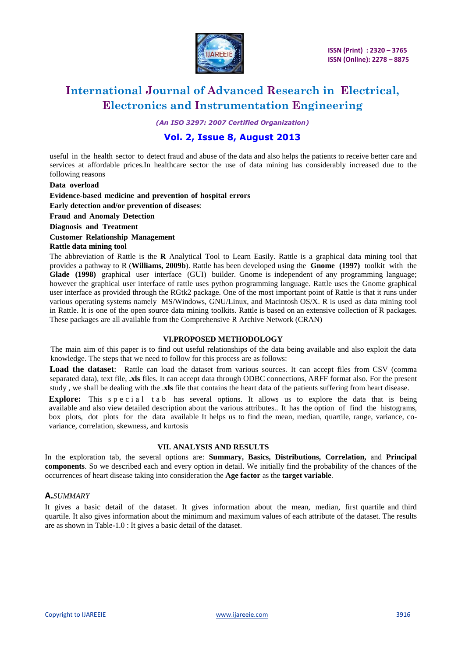

*(An ISO 3297: 2007 Certified Organization)*

### **Vol. 2, Issue 8, August 2013**

useful in the health sector to detect fraud and abuse of the data and also helps the patients to receive better care and services at affordable prices.In healthcare sector the use of data mining has considerably increased due to the following reasons

**Data overload**

**Evidence-based medicine and prevention of hospital errors**

**Early detection and/or prevention of diseases**:

**Fraud and Anomaly Detection**

**Diagnosis and Treatment**

**Customer Relationship Management**

**Rattle data mining tool**

The abbreviation of Rattle is the **R** Analytical Tool to Learn Easily. Rattle is a graphical data mining tool that provides a pathway to R (**Williams, 2009b**). Rattle has been developed using the **Gnome (1997)** toolkit with the **Glade (1998)** graphical user interface (GUI) builder. Gnome is independent of any programming language; however the graphical user interface of rattle uses python programming language. Rattle uses the Gnome graphical user interface as provided through the RGtk2 package. One of the most important point of Rattle is that it runs under various operating systems namely MS/Windows, GNU/Linux, and Macintosh OS/X. R is used as data mining tool in Rattle. It is one of the open source data mining toolkits. Rattle is based on an extensive collection of R packages. These packages are all available from the Comprehensive R Archive Network (CRAN)

#### **VI.PROPOSED METHODOLOGY**

The main aim of this paper is to find out useful relationships of the data being available and also exploit the data knowledge. The steps that we need to follow for this process are as follows:

**Load the dataset**: Rattle can load the dataset from various sources. It can accept files from CSV (comma separated data), text file, **.xls** files. It can accept data through ODBC connections, ARFF format also. For the present study , we shall be dealing with the .**xls** file that contains the heart data of the patients suffering from heart disease.

**Explore:** This special tab has several options. It allows us to explore the data that is being available and also view detailed description about the various attributes.. It has the option of find the histograms, box plots, dot plots for the data available It helps us to find the mean, median, quartile, range, variance, covariance, correlation, skewness, and kurtosis

#### **VII. ANALYSIS AND RESULTS**

In the exploration tab, the several options are: **Summary, Basics, Distributions, Correlation,** and **Principal components**. So we described each and every option in detail. We initially find the probability of the chances of the occurrences of heart disease taking into consideration the **Age factor** as the **target variable**.

#### **A.***SUMMARY*

It gives a basic detail of the dataset. It gives information about the mean, median, first quartile and third quartile. It also gives information about the minimum and maximum values of each attribute of the dataset. The results are as shown in Table-1.0 : It gives a basic detail of the dataset.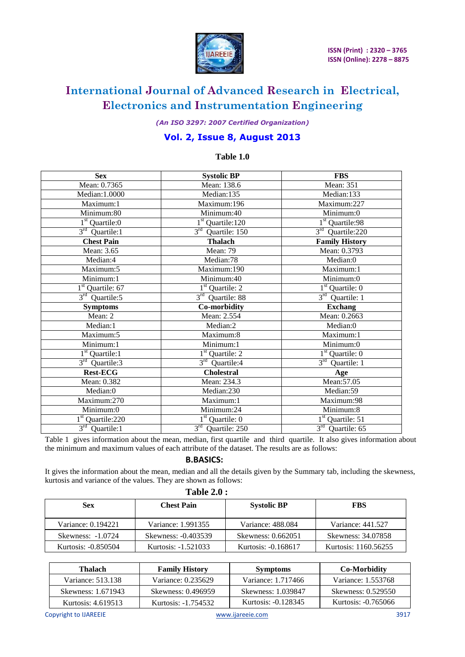

*(An ISO 3297: 2007 Certified Organization)*

### **Vol. 2, Issue 8, August 2013**

### **Table 1.0**

| <b>Sex</b>                   | <b>Systolic BP</b>              | <b>FBS</b>                       |
|------------------------------|---------------------------------|----------------------------------|
| Mean: 0.7365                 | Mean: 138.6                     | <b>Mean: 351</b>                 |
| Median: 1.0000               | Median:135                      | Median:133                       |
| Maximum:1                    | Maximum:196                     | Maximum:227                      |
| Minimum:80                   | Minimum:40                      | Minimum:0                        |
| $1st$ Quartile:0             | $1st$ Quartile: 120             | 1 <sup>st</sup> Quartile:98      |
| $3rd$ Quartile:1             | $3rd$ Quartile: 150             | 3rd Quartile:220                 |
| <b>Chest Pain</b>            | <b>Thalach</b>                  | <b>Family History</b>            |
| Mean: 3.65                   | Mean: 79                        | Mean: 0.3793                     |
| Median:4                     | Median:78                       | Median:0                         |
| Maximum:5                    | Maximum:190                     | Maximum:1                        |
| Minimum:1                    | Minimum:40                      | Minimum:0                        |
| $1st$ Quartile: 67           | $1st$ Quartile: 2               | $1st$ Quartile: 0                |
| $3rd$ Quartile:5             | $3^{\text{rd}}$<br>Quartile: 88 | $3rd$ Quartile: 1                |
| <b>Symptoms</b>              | Co-morbidity                    | <b>Exchang</b>                   |
| Mean: 2                      | Mean: 2.554                     | Mean: 0.2663                     |
| Median:1                     | Median:2                        | Median:0                         |
| Maximum:5                    | Maximum:8                       | Maximum:1                        |
| Minimum:1                    | Minimum:1                       | Minimum:0                        |
| $1st$ Quartile: 1            | $1st$ Quartile: 2               | $1st$ Quartile: 0                |
| $3rd$ Quartile:3             | $3rd$ Quartile:4                | $3rd$ Quartile: 1                |
| <b>Rest-ECG</b>              | <b>Cholestral</b>               | Age                              |
| Mean: 0.382                  | Mean: 234.3                     | Mean: 57.05                      |
| Median:0                     | Median:230                      | Median:59                        |
| Maximum:270                  | Maximum:1                       | Maximum:98                       |
| Minimum:0                    | Minimum:24                      | Minimum:8                        |
| 1 <sup>st</sup> Quartile:220 | $1st$ Quartile: 0               | $\overline{1}^{st}$ Quartile: 51 |
| $3rd$ Quartile:1             | $3rd$ Quartile: 250             | $3rd$ Quartile: 65               |

Table 1 gives information about the mean, median, first quartile and third quartile. It also gives information about the minimum and maximum values of each attribute of the dataset. The results are as follows:

#### **B.BASICS:**

It gives the information about the mean, median and all the details given by the Summary tab, including the skewness, kurtosis and variance of the values. They are shown as follows:

| <b>Table 2.0 :</b>  |                     |                     |                      |  |  |
|---------------------|---------------------|---------------------|----------------------|--|--|
| <b>Sex</b>          | <b>Chest Pain</b>   | <b>Systolic BP</b>  | <b>FBS</b>           |  |  |
| Variance: 0.194221  | Variance: 1.991355  | Variance: 488.084   | Variance: 441.527    |  |  |
| Skewness: -1.0724   | Skewness: -0.403539 | Skewness: 0.662051  | Skewness: 34.07858   |  |  |
| Kurtosis: -0.850504 | Kurtosis: -1.521033 | Kurtosis: -0.168617 | Kurtosis: 1160.56255 |  |  |

| Thalach            | <b>Family History</b> | <b>Symptoms</b>     | Co-Morbidity        |
|--------------------|-----------------------|---------------------|---------------------|
| Variance: 513.138  | Variance: 0.235629    | Variance: 1.717466  | Variance: 1.553768  |
| Skewness: 1.671943 | Skewness: 0.496959    | Skewness: 1.039847  | Skewness: 0.529550  |
| Kurtosis: 4.619513 | Kurtosis: -1.754532   | Kurtosis: -0.128345 | Kurtosis: -0.765066 |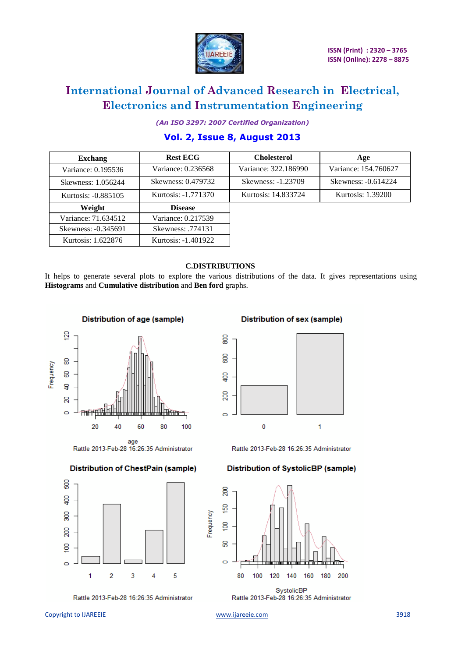

*(An ISO 3297: 2007 Certified Organization)* **Vol. 2, Issue 8, August 2013**

| <b>Exchang</b>      | <b>Rest ECG</b>     | <b>Cholesterol</b>   | Age                  |
|---------------------|---------------------|----------------------|----------------------|
| Variance: 0.195536  | Variance: 0.236568  | Variance: 322.186990 | Variance: 154.760627 |
| Skewness: 1.056244  | Skewness: 0.479732  | Skewness: -1.23709   | Skewness: -0.614224  |
| Kurtosis: -0.885105 | Kurtosis: -1.771370 | Kurtosis: 14.833724  | Kurtosis: 1.39200    |
| Weight              | <b>Disease</b>      |                      |                      |
| Variance: 71.634512 | Variance: 0.217539  |                      |                      |
| Skewness: -0.345691 | Skewness: .774131   |                      |                      |
| Kurtosis: 1.622876  | Kurtosis: -1.401922 |                      |                      |

#### **C.DISTRIBUTIONS**

It helps to generate several plots to explore the various distributions of the data. It gives representations using **Histograms** and **Cumulative distribution** and **Ben ford** graphs.



#### **Distribution of ChestPain (sample)**



Rattle 2013-Feb-28 16:26:35 Administrator

**Distribution of sex (sample)** 



Rattle 2013-Feb-28 16:26:35 Administrator

#### **Distribution of SystolicBP (sample)**



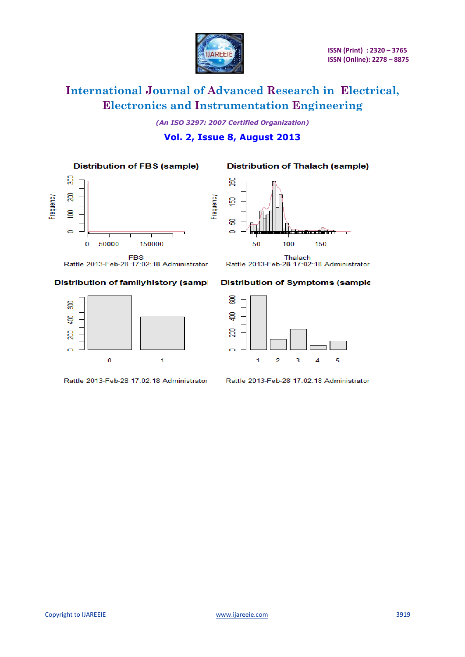

*(An ISO 3297: 2007 Certified Organization)* **Vol. 2, Issue 8, August 2013**

**Distribution of FBS (sample)** 

**Distribution of Thalach (sample)** 





**FBS** Rattle 2013-Feb-28 17:02:18 Administrator

#### Distribution of familyhistory (sampl



Rattle 2013-Feb-28 17:02:18 Administrator

#### **Distribution of Symptoms (sample**

Rattle 2013-Feb-28 17:02:18 Administrator



Rattle 2013-Feb-28 17:02:18 Administrator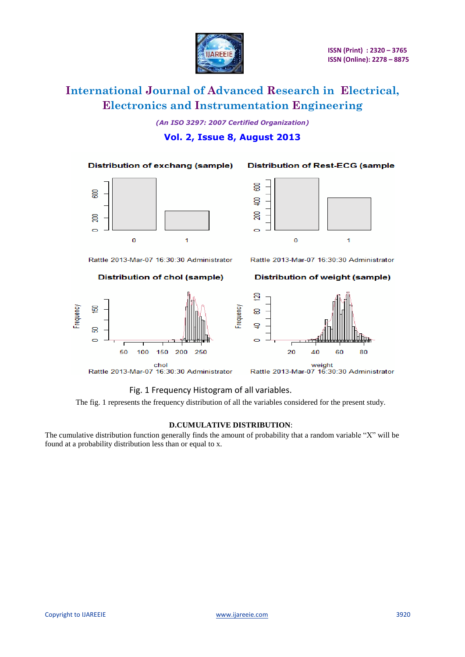

*(An ISO 3297: 2007 Certified Organization)* **Vol. 2, Issue 8, August 2013**

**Distribution of exchang (sample)** 

![](_page_7_Figure_5.jpeg)

Rattle 2013-Mar-07 16:30:30 Administrator

**Distribution of chol (sample)** 

![](_page_7_Figure_8.jpeg)

![](_page_7_Figure_9.jpeg)

**Distribution of Rest-ECG (sample** 

Rattle 2013-Mar-07 16:30:30 Administrator

**Distribution of weight (sample)** 

![](_page_7_Figure_12.jpeg)

weight<br>Rattle 2013-Mar-07 16:30:30 Administrator

### Fig. 1 Frequency Histogram of all variables.

The fig. 1 represents the frequency distribution of all the variables considered for the present study.

Frequency

#### **D.CUMULATIVE DISTRIBUTION**:

The cumulative distribution function generally finds the amount of probability that a random variable "X" will be found at a probability distribution less than or equal to x.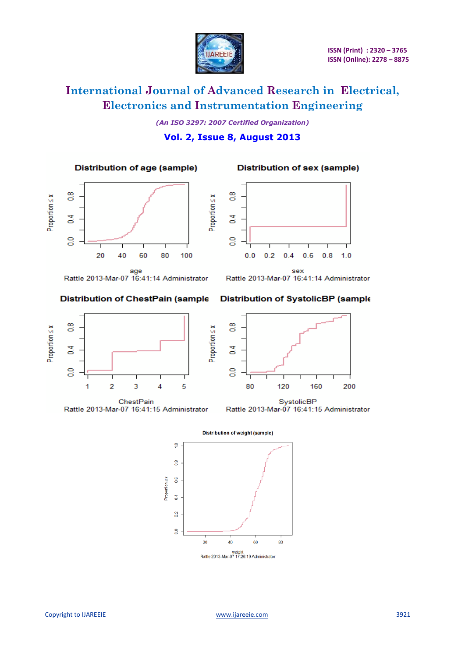![](_page_8_Picture_0.jpeg)

*(An ISO 3297: 2007 Certified Organization)* **Vol. 2, Issue 8, August 2013**

**Distribution of age (sample)** 

![](_page_8_Figure_5.jpeg)

![](_page_8_Figure_6.jpeg)

**Distribution of sex (sample)** 

Rattle 2013-Mar-07 16:41:14 Administrator

**Distribution of ChestPain (sample** 

Rattle 2013-Mar-07 16:41:14 Administrator

### **Distribution of SystolicBP (sample**

200

![](_page_8_Figure_10.jpeg)

![](_page_8_Figure_11.jpeg)

![](_page_8_Figure_12.jpeg)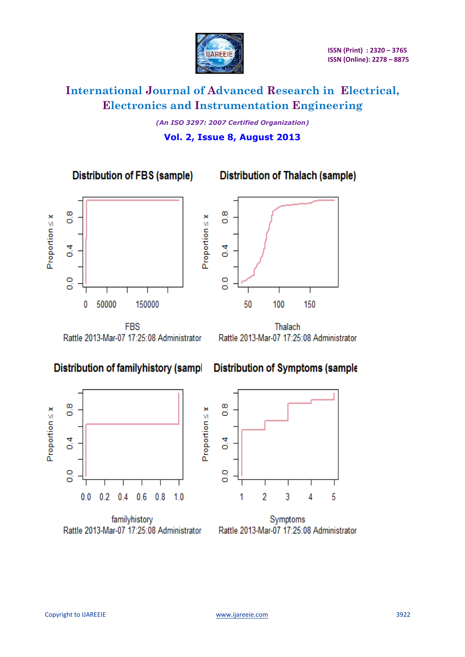![](_page_9_Picture_0.jpeg)

*(An ISO 3297: 2007 Certified Organization)* **Vol. 2, Issue 8, August 2013**

 $Proportion \leq x$ 

 $Proportion \leq x$ 

**Distribution of FBS (sample)** 

**Distribution of Thalach (sample)** 

![](_page_9_Figure_6.jpeg)

![](_page_9_Figure_7.jpeg)

**FBS** Rattle 2013-Mar-07 17:25:08 Administrator

Thalach Rattle 2013-Mar-07 17:25:08 Administrator

### **Distribution of familyhistory (sampl**

**Distribution of Symptoms (sample** 

![](_page_9_Figure_12.jpeg)

familyhistory Rattle 2013-Mar-07 17:25:08 Administrator

![](_page_9_Figure_14.jpeg)

Symptoms Rattle 2013-Mar-07 17:25:08 Administrator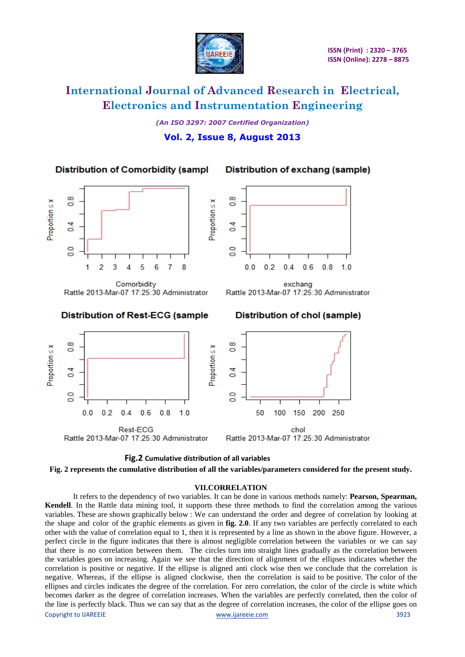![](_page_10_Picture_0.jpeg)

*(An ISO 3297: 2007 Certified Organization)* **Vol. 2, Issue 8, August 2013**

**Distribution of Comorbidity (sampl** 

Distribution of exchang (sample)

![](_page_10_Figure_6.jpeg)

Comorbidity Rattle 2013-Mar-07 17:25:30 Administrator

### **Distribution of Rest-ECG (sample**

![](_page_10_Figure_9.jpeg)

exchang Rattle 2013-Mar-07 17:25:30 Administrator

![](_page_10_Figure_11.jpeg)

![](_page_10_Figure_12.jpeg)

![](_page_10_Figure_13.jpeg)

**Fig. 2 represents the cumulative distribution of all the variables/parameters considered for the present study.**

#### **VII.CORRELATION**

Copyright to IJAREEIE [www.ijareeie.com](http://www.ijareeie.com/) 3923 It refers to the dependency of two variables. It can be done in various methods namely: **Pearson, Spearman, Kendell**. In the Rattle data mining tool, it supports these three methods to find the correlation among the various variables. These are shown graphically below : We can understand the order and degree of correlation by looking at the shape and color of the graphic elements as given in **fig. 2.0**. If any two variables are perfectly correlated to each other with the value of correlation equal to 1, then it is represented by a line as shown in the above figure. However, a perfect circle in the figure indicates that there is almost negligible correlation between the variables or we can say that there is no correlation between them. The circles turn into straight lines gradually as the correlation between the variables goes on increasing. Again we see that the direction of alignment of the ellipses indicates whether the correlation is positive or negative. If the ellipse is aligned anti clock wise then we conclude that the correlation is negative. Whereas, if the ellipse is aligned clockwise, then the correlation is said to be positive. The color of the ellipses and circles indicates the degree of the correlation. For zero correlation, the color of the circle is white which becomes darker as the degree of correlation increases. When the variables are perfectly correlated, then the color of the line is perfectly black. Thus we can say that as the degree of correlation increases, the color of the ellipse goes on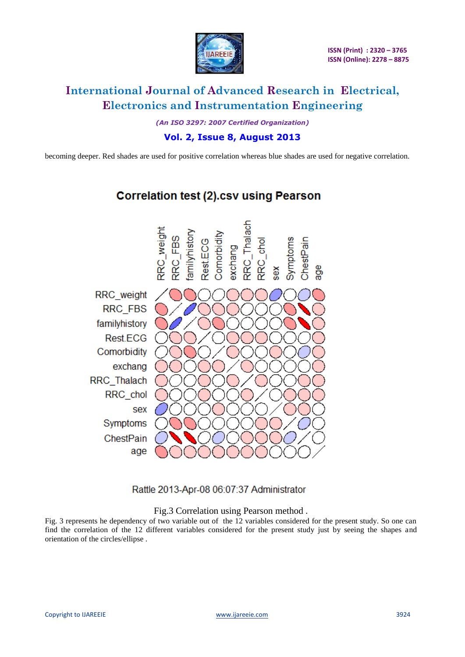![](_page_11_Picture_0.jpeg)

*(An ISO 3297: 2007 Certified Organization)*

**Vol. 2, Issue 8, August 2013**

becoming deeper. Red shades are used for positive correlation whereas blue shades are used for negative correlation.

![](_page_11_Figure_6.jpeg)

### **Correlation test (2).csv using Pearson**

Rattle 2013-Apr-08 06:07:37 Administrator

### Fig.3 Correlation using Pearson method .

Fig. 3 represents he dependency of two variable out of the 12 variables considered for the present study. So one can find the correlation of the 12 different variables considered for the present study just by seeing the shapes and orientation of the circles/ellipse .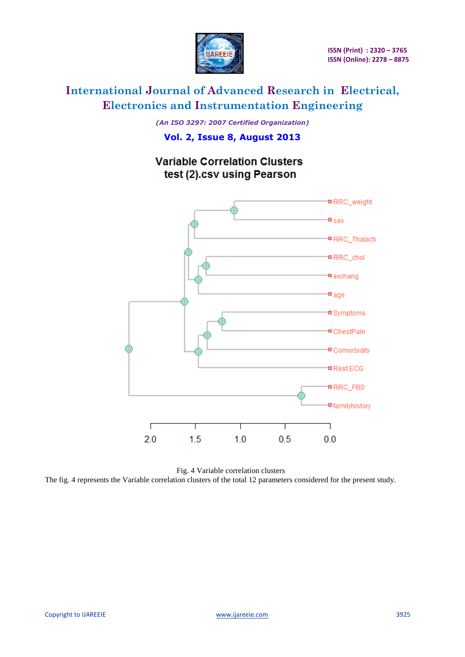![](_page_12_Picture_0.jpeg)

*(An ISO 3297: 2007 Certified Organization)* **Vol. 2, Issue 8, August 2013**

![](_page_12_Figure_4.jpeg)

Fig. 4 Variable correlation clusters The fig. 4 represents the Variable correlation clusters of the total 12 parameters considered for the present study.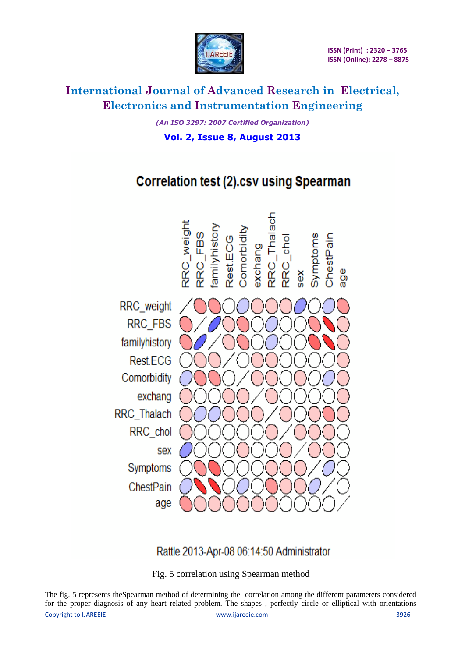![](_page_13_Picture_0.jpeg)

*(An ISO 3297: 2007 Certified Organization)* **Vol. 2, Issue 8, August 2013**

# **Correlation test (2).csv using Spearman**

![](_page_13_Figure_5.jpeg)

### Rattle 2013-Apr-08 06:14:50 Administrator

Fig. 5 correlation using Spearman method

Copyright to IJAREEIE [www.ijareeie.com](http://www.ijareeie.com/) 3926 The fig. 5 represents theSpearman method of determining the correlation among the different parameters considered for the proper diagnosis of any heart related problem. The shapes , perfectly circle or elliptical with orientations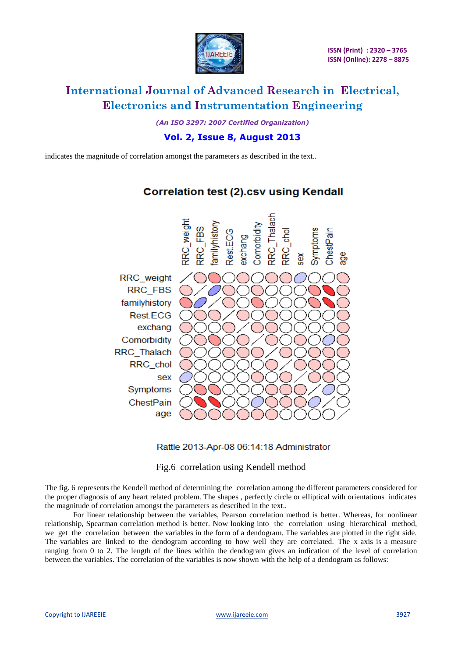![](_page_14_Picture_0.jpeg)

*(An ISO 3297: 2007 Certified Organization)*

**Vol. 2, Issue 8, August 2013**

indicates the magnitude of correlation amongst the parameters as described in the text..

![](_page_14_Figure_6.jpeg)

### **Correlation test (2).csv using Kendall**

Rattle 2013-Apr-08 06:14:18 Administrator

### Fig.6 correlation using Kendell method

The fig. 6 represents the Kendell method of determining the correlation among the different parameters considered for the proper diagnosis of any heart related problem. The shapes , perfectly circle or elliptical with orientations indicates the magnitude of correlation amongst the parameters as described in the text..

For linear relationship between the variables, Pearson correlation method is better. Whereas, for nonlinear relationship, Spearman correlation method is better. Now looking into the correlation using hierarchical method, we get the correlation between the variables in the form of a dendogram. The variables are plotted in the right side. The variables are linked to the dendogram according to how well they are correlated. The x axis is a measure ranging from 0 to 2. The length of the lines within the dendogram gives an indication of the level of correlation between the variables. The correlation of the variables is now shown with the help of a dendogram as follows: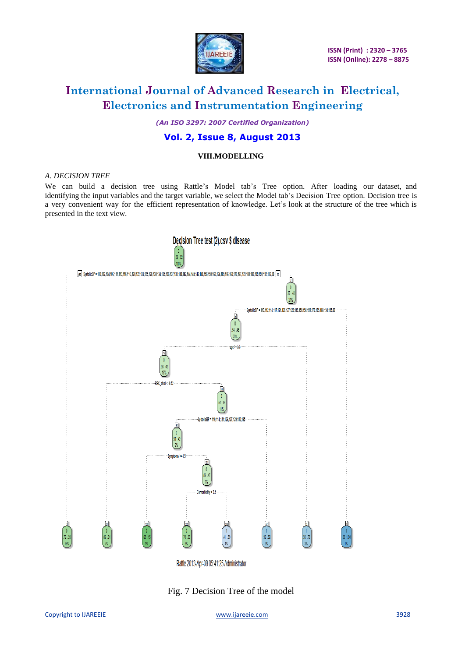![](_page_15_Picture_0.jpeg)

*(An ISO 3297: 2007 Certified Organization)*

### **Vol. 2, Issue 8, August 2013**

### **VIII.MODELLING**

#### *A. DECISION TREE*

We can build a decision tree using Rattle's Model tab's Tree option. After loading our dataset, and identifying the input variables and the target variable, we select the Model tab's Decision Tree option. Decision tree is a very convenient way for the efficient representation of knowledge. Let's look at the structure of the tree which is presented in the text view.

![](_page_15_Figure_8.jpeg)

Fig. 7 Decision Tree of the model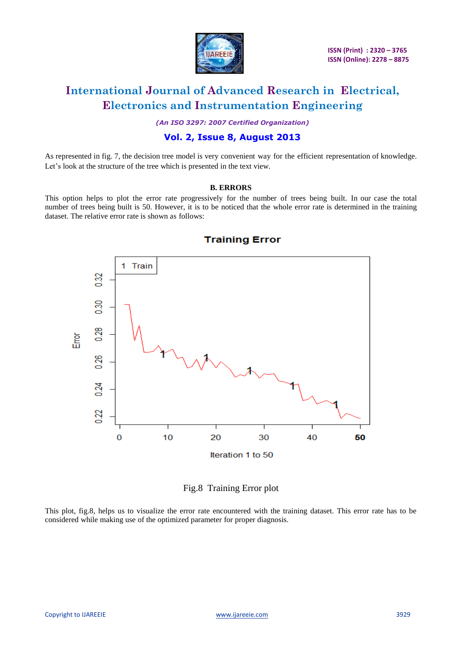![](_page_16_Picture_0.jpeg)

*(An ISO 3297: 2007 Certified Organization)*

### **Vol. 2, Issue 8, August 2013**

As represented in fig. 7, the decision tree model is very convenient way for the efficient representation of knowledge. Let's look at the structure of the tree which is presented in the text view.

#### **B. ERRORS**

This option helps to plot the error rate progressively for the number of trees being built. In our case the total number of trees being built is 50. However, it is to be noticed that the whole error rate is determined in the training dataset. The relative error rate is shown as follows:

![](_page_16_Figure_8.jpeg)

### **Training Error**

Fig.8 Training Error plot

This plot, fig.8, helps us to visualize the error rate encountered with the training dataset. This error rate has to be considered while making use of the optimized parameter for proper diagnosis.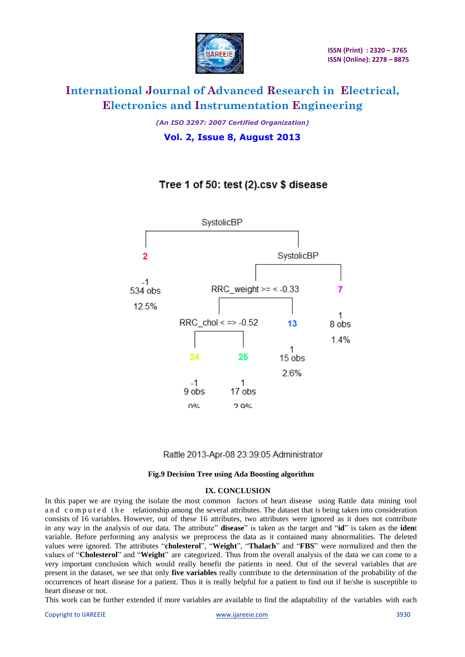![](_page_17_Picture_0.jpeg)

*(An ISO 3297: 2007 Certified Organization)* **Vol. 2, Issue 8, August 2013**

### Tree 1 of 50: test (2).csv \$ disease

![](_page_17_Figure_5.jpeg)

### Rattle 2013-Apr-08 23:39:05 Administrator

#### **Fig.9 Decision Tree using Ada Boosting algorithm**

#### **IX. CONCLUSION**

In this paper we are trying the isolate the most common factors of heart disease using Rattle data mining tool and computed the relationship among the several attributes. The dataset that is being taken into consideration consists of 16 variables. However, out of these 16 attributes, two attributes were ignored as it does not contribute in any way in the analysis of our data. The attribute" **disease**" is taken as the target and "**id**" is taken as the **iden**t variable. Before performing any analysis we preprocess the data as it contained many abnormalities. The deleted values were ignored. The attributes "**cholesterol**", "**Weight**", "**Thalach**" and "**FBS**" were normalized and then the values of "**Cholesterol**" and "**Weight**" are categorized. Thus from the overall analysis of the data we can come to a very important conclusion which would really benefit the patients in need. Out of the several variables that are present in the dataset, we see that only **five variables** really contribute to the determination of the probability of the occurrences of heart disease for a patient. Thus it is really helpful for a patient to find out if he/she is susceptible to heart disease or not.

This work can be further extended if more variables are available to find the adaptability of the variables with each